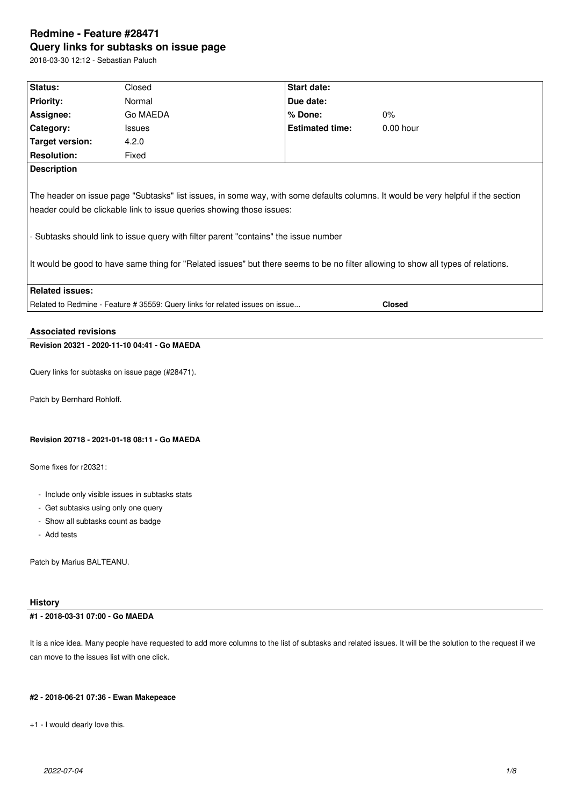# **Redmine - Feature #28471 Query links for subtasks on issue page**

2018-03-30 12:12 - Sebastian Paluch

| Status:                                                                                                                                                                                                                                                                                                                                                                                                                                 | Closed                                                                        | Start date:            |               |  |  |
|-----------------------------------------------------------------------------------------------------------------------------------------------------------------------------------------------------------------------------------------------------------------------------------------------------------------------------------------------------------------------------------------------------------------------------------------|-------------------------------------------------------------------------------|------------------------|---------------|--|--|
| <b>Priority:</b>                                                                                                                                                                                                                                                                                                                                                                                                                        | Normal                                                                        | Due date:              |               |  |  |
| Assignee:                                                                                                                                                                                                                                                                                                                                                                                                                               | Go MAEDA                                                                      | $%$ Done:              | 0%            |  |  |
| Category:                                                                                                                                                                                                                                                                                                                                                                                                                               | <b>Issues</b>                                                                 | <b>Estimated time:</b> | $0.00$ hour   |  |  |
| Target version:                                                                                                                                                                                                                                                                                                                                                                                                                         | 4.2.0                                                                         |                        |               |  |  |
| <b>Resolution:</b>                                                                                                                                                                                                                                                                                                                                                                                                                      | Fixed                                                                         |                        |               |  |  |
| <b>Description</b>                                                                                                                                                                                                                                                                                                                                                                                                                      |                                                                               |                        |               |  |  |
| The header on issue page "Subtasks" list issues, in some way, with some defaults columns. It would be very helpful if the section<br>header could be clickable link to issue queries showing those issues:<br>- Subtasks should link to issue query with filter parent "contains" the issue number<br>It would be good to have same thing for "Related issues" but there seems to be no filter allowing to show all types of relations. |                                                                               |                        |               |  |  |
| <b>Related issues:</b>                                                                                                                                                                                                                                                                                                                                                                                                                  |                                                                               |                        |               |  |  |
|                                                                                                                                                                                                                                                                                                                                                                                                                                         | Related to Redmine - Feature # 35559: Query links for related issues on issue |                        | <b>Closed</b> |  |  |
| <b>Associated revisions</b>                                                                                                                                                                                                                                                                                                                                                                                                             |                                                                               |                        |               |  |  |

# **Revision 20321 - 2020-11-10 04:41 - Go MAEDA**

Query links for subtasks on issue page (#28471).

Patch by Bernhard Rohloff.

### **Revision 20718 - 2021-01-18 08:11 - Go MAEDA**

Some fixes for r20321:

- Include only visible issues in subtasks stats
- Get subtasks using only one query
- Show all subtasks count as badge
- Add tests

Patch by Marius BALTEANU.

### **History**

# **#1 - 2018-03-31 07:00 - Go MAEDA**

It is a nice idea. Many people have requested to add more columns to the list of subtasks and related issues. It will be the solution to the request if we can move to the issues list with one click.

#### **#2 - 2018-06-21 07:36 - Ewan Makepeace**

+1 - I would dearly love this.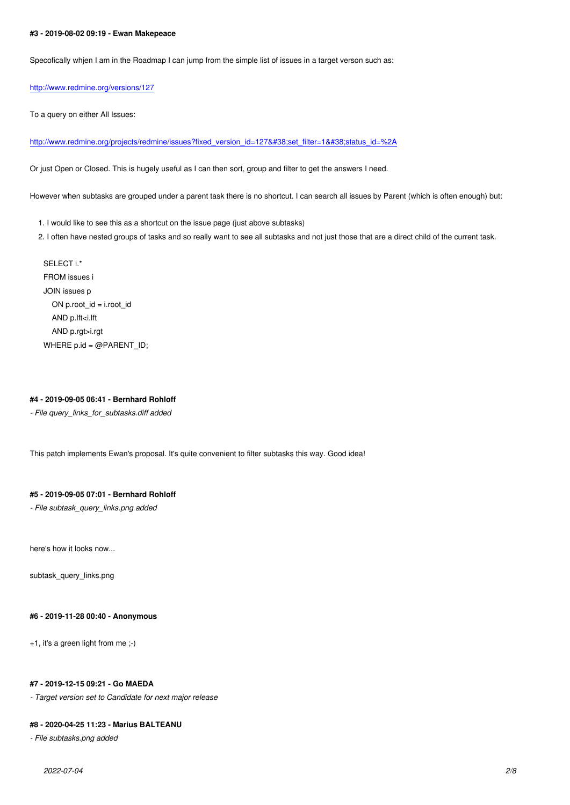Specofically whjen I am in the Roadmap I can jump from the simple list of issues in a target verson such as:

http://www.redmine.org/versions/127

To a query on either All Issues:

[http://www.redmine.org/projects/redm](http://www.redmine.org/versions/127)ine/issues?fixed\_version\_id=127&set\_filter=1&status\_id=%2A

Or just Open or Closed. This is hugely useful as I can then sort, group and filter to get the answers I need.

[However when subtasks are grouped under a parent task there is no shortcut. I can search all issues by Pare](http://www.redmine.org/projects/redmine/issues?fixed_version_id=127&set_filter=1&status_id=%2A)nt (which is often enough) but:

1. I would like to see this as a shortcut on the issue page (just above subtasks)

2. I often have nested groups of tasks and so really want to see all subtasks and not just those that are a direct child of the current task.

SELECT i.\* FROM issues i JOIN issues p ON p.root\_id = i.root\_id AND p.lft<i.lft AND p.rgt>i.rgt WHERE p.id = @PARENT\_ID;

### **#4 - 2019-09-05 06:41 - Bernhard Rohloff**

*- File query\_links\_for\_subtasks.diff added*

This patch implements Ewan's proposal. It's quite convenient to filter subtasks this way. Good idea!

### **#5 - 2019-09-05 07:01 - Bernhard Rohloff**

*- File subtask\_query\_links.png added*

here's how it looks now...

subtask\_query\_links.png

#### **#6 - 2019-11-28 00:40 - Anonymous**

+1, it's a green light from me ;-)

### **#7 - 2019-12-15 09:21 - Go MAEDA**

*- Target version set to Candidate for next major release*

### **#8 - 2020-04-25 11:23 - Marius BALTEANU**

*- File subtasks.png added*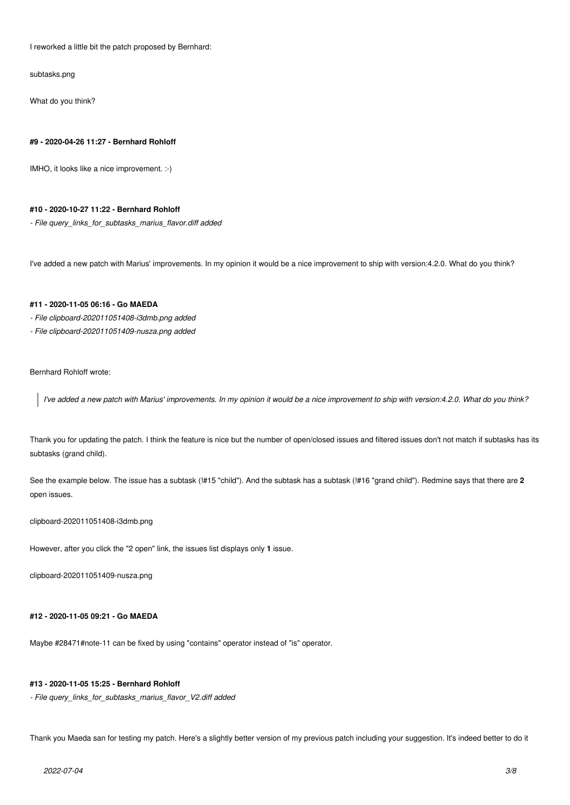I reworked a little bit the patch proposed by Bernhard:

subtasks.png

What do you think?

#### **#9 - 2020-04-26 11:27 - Bernhard Rohloff**

IMHO, it looks like a nice improvement. :-)

### **#10 - 2020-10-27 11:22 - Bernhard Rohloff**

*- File query\_links\_for\_subtasks\_marius\_flavor.diff added*

I've added a new patch with Marius' improvements. In my opinion it would be a nice improvement to ship with version:4.2.0. What do you think?

## **#11 - 2020-11-05 06:16 - Go MAEDA**

- *File clipboard-202011051408-i3dmb.png added*
- *File clipboard-202011051409-nusza.png added*

Bernhard Rohloff wrote:

*I've added a new patch with Marius' improvements. In my opinion it would be a nice improvement to ship with version:4.2.0. What do you think?*

Thank you for updating the patch. I think the feature is nice but the number of open/closed issues and filtered issues don't not match if subtasks has its subtasks (grand child).

See the example below. The issue has a subtask (!#15 "child"). And the subtask has a subtask (!#16 "grand child"). Redmine says that there are **2** open issues.

### clipboard-202011051408-i3dmb.png

However, after you click the "2 open" link, the issues list displays only **1** issue.

clipboard-202011051409-nusza.png

# **#12 - 2020-11-05 09:21 - Go MAEDA**

Maybe #28471#note-11 can be fixed by using "contains" operator instead of "is" operator.

### **#13 - 2020-11-05 15:25 - Bernhard Rohloff**

*- File query\_links\_for\_subtasks\_marius\_flavor\_V2.diff added*

Thank you Maeda san for testing my patch. Here's a slightly better version of my previous patch including your suggestion. It's indeed better to do it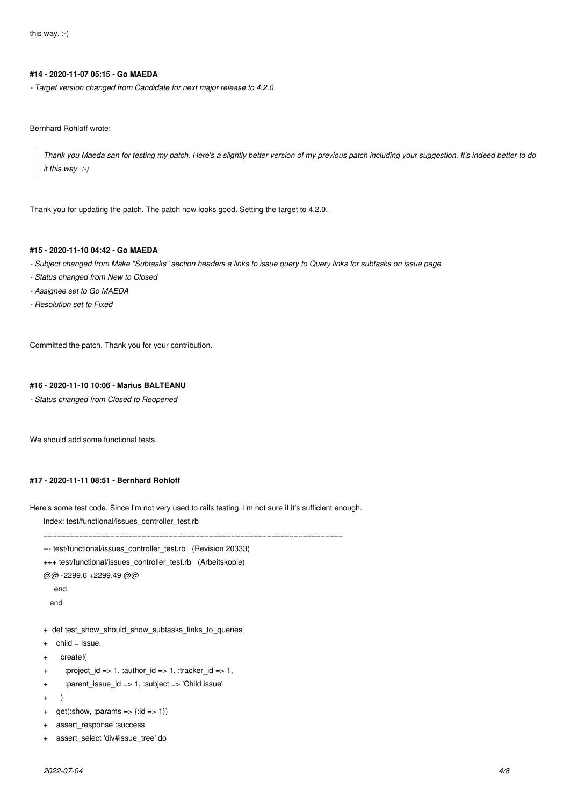## **#14 - 2020-11-07 05:15 - Go MAEDA**

*- Target version changed from Candidate for next major release to 4.2.0*

Bernhard Rohloff wrote:

*Thank you Maeda san for testing my patch. Here's a slightly better version of my previous patch including your suggestion. It's indeed better to do it this way. :-)*

Thank you for updating the patch. The patch now looks good. Setting the target to 4.2.0.

# **#15 - 2020-11-10 04:42 - Go MAEDA**

- *Subject changed from Make "Subtasks" section headers a links to issue query to Query links for subtasks on issue page*
- *Status changed from New to Closed*
- *Assignee set to Go MAEDA*
- *Resolution set to Fixed*

Committed the patch. Thank you for your contribution.

### **#16 - 2020-11-10 10:06 - Marius BALTEANU**

*- Status changed from Closed to Reopened*

We should add some functional tests.

### **#17 - 2020-11-11 08:51 - Bernhard Rohloff**

Here's some test code. Since I'm not very used to rails testing, I'm not sure if it's sufficient enough.

Index: test/functional/issues\_controller\_test.rb

===================================================================

```
--- test/functional/issues_controller_test.rb (Revision 20333)
```
+++ test/functional/issues\_controller\_test.rb (Arbeitskopie)

@@ -2299,6 +2299,49 @@

end

end

- + def test\_show\_should\_show\_subtasks\_links\_to\_queries
- $+$  child = Issue.
- + create!(
- + :project\_id => 1, :author\_id => 1, :tracker\_id => 1,
- + :parent\_issue\_id => 1, :subject => 'Child issue'
- + )
- + get(:show, :params =>  $\{$  :id => 1 $\}$ )
- + assert\_response :success
- + assert\_select 'div#issue\_tree' do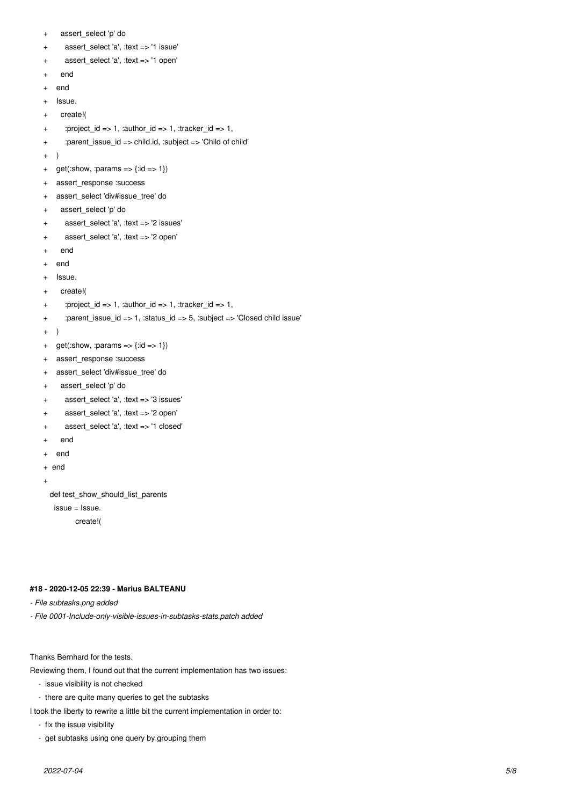- + assert\_select 'p' do
- + assert\_select 'a', :text => '1 issue'
- assert\_select 'a', :text => '1 open'
- end
- + end
- + Issue.
- + create!(
- + :project\_id => 1, :author\_id => 1, :tracker\_id => 1,
- + :parent\_issue\_id => child.id, :subject => 'Child of child'
- + )
- + get(:show, :params =>  $\{id = > 1\}$ )
- + assert\_response :success
- + assert\_select 'div#issue\_tree' do
- + assert\_select 'p' do
- + assert\_select 'a', :text => '2 issues'
- + assert\_select 'a', :text => '2 open'
- + end
- + end
- + Issue.
- + create!(
- :project\_id => 1, :author\_id => 1, :tracker\_id => 1,
- + :parent\_issue\_id => 1, :status\_id => 5, :subject => 'Closed child issue'
- + )
- + get(:show, :params =>  $\{$  :id =>  $1\}$ )
- + assert\_response :success
- + assert\_select 'div#issue\_tree' do
- + assert\_select 'p' do
- + assert\_select 'a', :text => '3 issues'
- + assert\_select 'a', :text => '2 open'
- + assert\_select 'a', :text => '1 closed'
- + end
- + end
- + end
- +

def test\_show\_should\_list\_parents

issue = Issue.

create!(

# **#18 - 2020-12-05 22:39 - Marius BALTEANU**

- *File subtasks.png added*
- *File 0001-Include-only-visible-issues-in-subtasks-stats.patch added*

Thanks Bernhard for the tests.

Reviewing them, I found out that the current implementation has two issues:

- issue visibility is not checked
- there are quite many queries to get the subtasks

I took the liberty to rewrite a little bit the current implementation in order to:

- fix the issue visibility
- get subtasks using one query by grouping them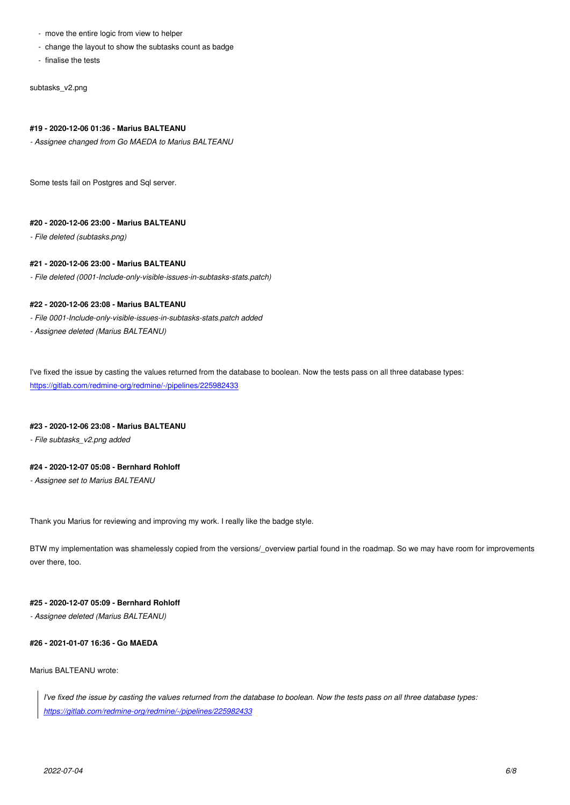- change the layout to show the subtasks count as badge
- finalise the tests

subtasks\_v2.png

### **#19 - 2020-12-06 01:36 - Marius BALTEANU**

*- Assignee changed from Go MAEDA to Marius BALTEANU*

Some tests fail on Postgres and Sql server.

# **#20 - 2020-12-06 23:00 - Marius BALTEANU**

*- File deleted (subtasks.png)*

### **#21 - 2020-12-06 23:00 - Marius BALTEANU**

*- File deleted (0001-Include-only-visible-issues-in-subtasks-stats.patch)*

### **#22 - 2020-12-06 23:08 - Marius BALTEANU**

- *File 0001-Include-only-visible-issues-in-subtasks-stats.patch added*
- *Assignee deleted (Marius BALTEANU)*

I've fixed the issue by casting the values returned from the database to boolean. Now the tests pass on all three database types: https://gitlab.com/redmine-org/redmine/-/pipelines/225982433

### **[#23 - 2020-12-06 23:08 - Marius BALTEANU](https://gitlab.com/redmine-org/redmine/-/pipelines/225982433)**

*- File subtasks\_v2.png added*

# **#24 - 2020-12-07 05:08 - Bernhard Rohloff**

*- Assignee set to Marius BALTEANU*

Thank you Marius for reviewing and improving my work. I really like the badge style.

BTW my implementation was shamelessly copied from the versions/\_overview partial found in the roadmap. So we may have room for improvements over there, too.

### **#25 - 2020-12-07 05:09 - Bernhard Rohloff**

*- Assignee deleted (Marius BALTEANU)*

### **#26 - 2021-01-07 16:36 - Go MAEDA**

### Marius BALTEANU wrote:

*I've fixed the issue by casting the values returned from the database to boolean. Now the tests pass on all three database types: https://gitlab.com/redmine-org/redmine/-/pipelines/225982433*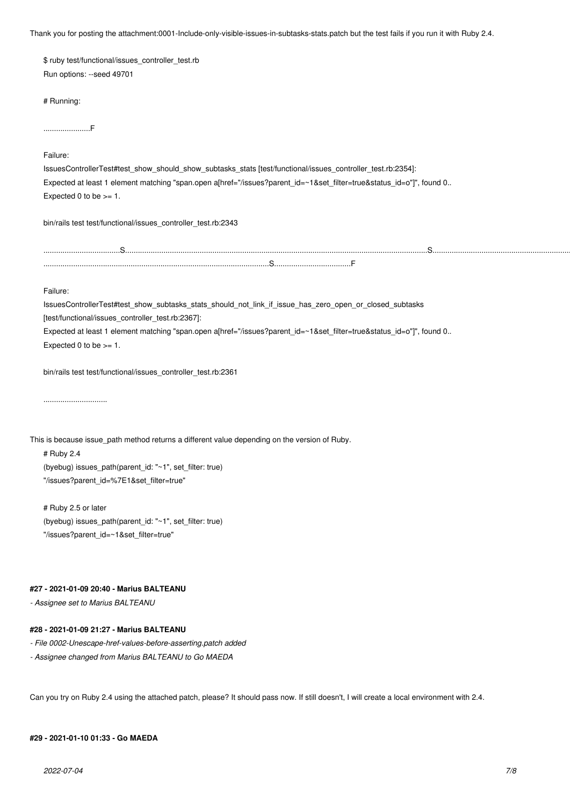Thank you for posting the attachment:0001-Include-only-visible-issues-in-subtasks-stats.patch but the test fails if you run it with Ruby 2.4.

| \$ ruby test/functional/issues controller test.rb |
|---------------------------------------------------|
| Run options: --seed 49701                         |

# Running:

......................F

Failure:

| IssuesControllerTest#test show should show subtasks stats [test/functional/issues controller test.rb:2354]:          |
|----------------------------------------------------------------------------------------------------------------------|
| Expected at least 1 element matching "span.open a[href="/issues?parent id=~1&set filter=true&status id=o"]", found 0 |
| Expected 0 to be $>= 1$ .                                                                                            |

bin/rails test test/functional/issues\_controller\_test.rb:2343

....................................S..............................................................................................................................................S.....................................................................................................................................................S....................................F ..........................................................................................................S....................................F

### Failure:

IssuesControllerTest#test\_show\_subtasks\_stats\_should\_not\_link\_if\_issue\_has\_zero\_open\_or\_closed\_subtasks [test/functional/issues\_controller\_test.rb:2367]: Expected at least 1 element matching "span.open a[href="/issues?parent\_id=~1&set\_filter=true&status\_id=o"]", found 0..

Expected  $0$  to be  $>= 1$ .

bin/rails test test/functional/issues\_controller\_test.rb:2361

..............................

This is because issue\_path method returns a different value depending on the version of Ruby.

# Ruby 2.4 (byebug) issues\_path(parent\_id: "~1", set\_filter: true) "/issues?parent\_id=%7E1&set\_filter=true"

# Ruby 2.5 or later (byebug) issues\_path(parent\_id: "~1", set\_filter: true) "/issues?parent\_id=~1&set\_filter=true"

### **#27 - 2021-01-09 20:40 - Marius BALTEANU**

*- Assignee set to Marius BALTEANU*

## **#28 - 2021-01-09 21:27 - Marius BALTEANU**

*- File 0002-Unescape-href-values-before-asserting.patch added*

*- Assignee changed from Marius BALTEANU to Go MAEDA*

Can you try on Ruby 2.4 using the attached patch, please? It should pass now. If still doesn't, I will create a local environment with 2.4.

# **#29 - 2021-01-10 01:33 - Go MAEDA**